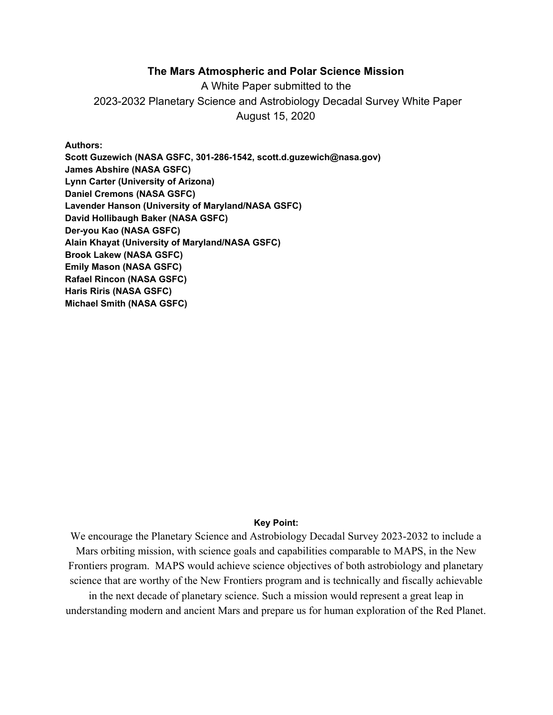## **The Mars Atmospheric and Polar Science Mission**

A White Paper submitted to the 2023-2032 Planetary Science and Astrobiology Decadal Survey White Paper August 15, 2020

#### **Authors:**

**Scott Guzewich (NASA GSFC, 301-286-1542, scott.d.guzewich@nasa.gov) James Abshire (NASA GSFC) Lynn Carter (University of Arizona) Daniel Cremons (NASA GSFC) Lavender Hanson (University of Maryland/NASA GSFC) David Hollibaugh Baker (NASA GSFC) Der-you Kao (NASA GSFC) Alain Khayat (University of Maryland/NASA GSFC) Brook Lakew (NASA GSFC) Emily Mason (NASA GSFC) Rafael Rincon (NASA GSFC) Haris Riris (NASA GSFC) Michael Smith (NASA GSFC)**

#### **Key Point:**

We encourage the Planetary Science and Astrobiology Decadal Survey 2023-2032 to include a Mars orbiting mission, with science goals and capabilities comparable to MAPS, in the New Frontiers program. MAPS would achieve science objectives of both astrobiology and planetary science that are worthy of the New Frontiers program and is technically and fiscally achievable in the next decade of planetary science. Such a mission would represent a great leap in understanding modern and ancient Mars and prepare us for human exploration of the Red Planet.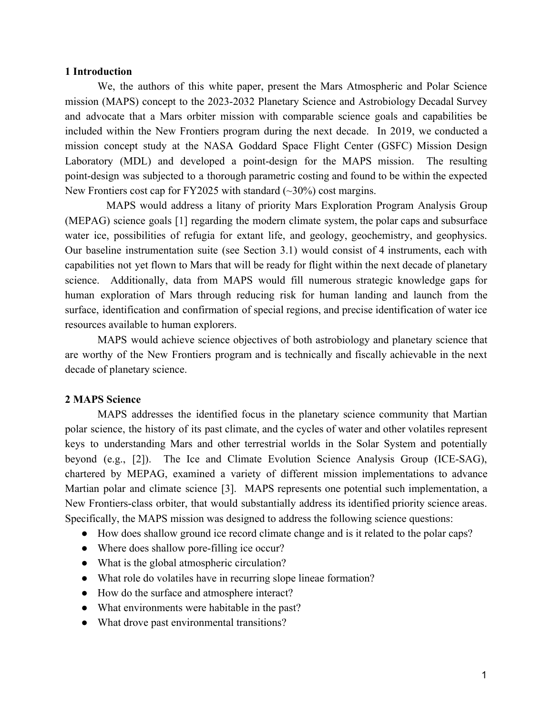#### **1 Introduction**

We, the authors of this white paper, present the Mars Atmospheric and Polar Science mission (MAPS) concept to the 2023-2032 Planetary Science and Astrobiology Decadal Survey and advocate that a Mars orbiter mission with comparable science goals and capabilities be included within the New Frontiers program during the next decade. In 2019, we conducted a mission concept study at the NASA Goddard Space Flight Center (GSFC) Mission Design Laboratory (MDL) and developed a point-design for the MAPS mission. The resulting point-design was subjected to a thorough parametric costing and found to be within the expected New Frontiers cost cap for FY2025 with standard  $(\sim 30\%)$  cost margins.

MAPS would address a litany of priority Mars Exploration Program Analysis Group (MEPAG) science goals [1] regarding the modern climate system, the polar caps and subsurface water ice, possibilities of refugia for extant life, and geology, geochemistry, and geophysics. Our baseline instrumentation suite (see Section 3.1) would consist of 4 instruments, each with capabilities not yet flown to Mars that will be ready for flight within the next decade of planetary science. Additionally, data from MAPS would fill numerous strategic knowledge gaps for human exploration of Mars through reducing risk for human landing and launch from the surface, identification and confirmation of special regions, and precise identification of water ice resources available to human explorers.

MAPS would achieve science objectives of both astrobiology and planetary science that are worthy of the New Frontiers program and is technically and fiscally achievable in the next decade of planetary science.

#### **2 MAPS Science**

MAPS addresses the identified focus in the planetary science community that Martian polar science, the history of its past climate, and the cycles of water and other volatiles represent keys to understanding Mars and other terrestrial worlds in the Solar System and potentially beyond (e.g., [2]). The Ice and Climate Evolution Science Analysis Group (ICE-SAG), chartered by MEPAG, examined a variety of different mission implementations to advance Martian polar and climate science [3]. MAPS represents one potential such implementation, a New Frontiers-class orbiter, that would substantially address its identified priority science areas. Specifically, the MAPS mission was designed to address the following science questions:

- How does shallow ground ice record climate change and is it related to the polar caps?
- Where does shallow pore-filling ice occur?
- What is the global atmospheric circulation?
- What role do volatiles have in recurring slope lineae formation?
- How do the surface and atmosphere interact?
- What environments were habitable in the past?
- What drove past environmental transitions?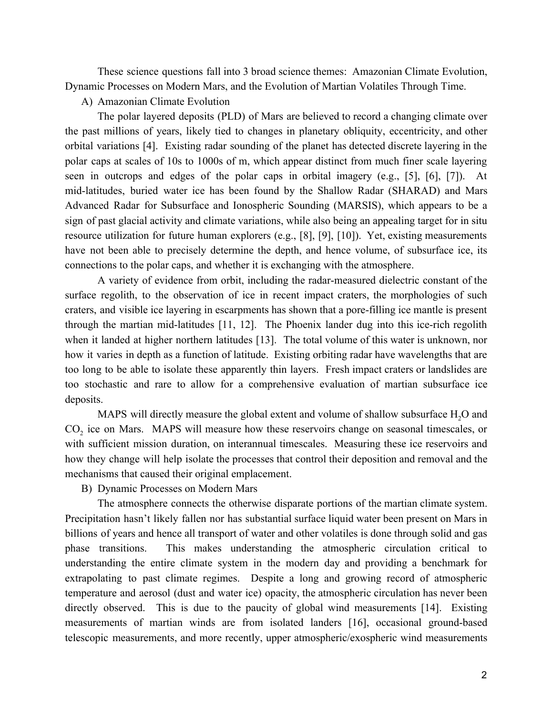These science questions fall into 3 broad science themes: Amazonian Climate Evolution, Dynamic Processes on Modern Mars, and the Evolution of Martian Volatiles Through Time.

### A) Amazonian Climate Evolution

The polar layered deposits (PLD) of Mars are believed to record a changing climate over the past millions of years, likely tied to changes in planetary obliquity, eccentricity, and other orbital variations [4]. Existing radar sounding of the planet has detected discrete layering in the polar caps at scales of 10s to 1000s of m, which appear distinct from much finer scale layering seen in outcrops and edges of the polar caps in orbital imagery (e.g., [5], [6], [7]). At mid-latitudes, buried water ice has been found by the Shallow Radar (SHARAD) and Mars Advanced Radar for Subsurface and Ionospheric Sounding (MARSIS), which appears to be a sign of past glacial activity and climate variations, while also being an appealing target for in situ resource utilization for future human explorers (e.g., [8], [9], [10]). Yet, existing measurements have not been able to precisely determine the depth, and hence volume, of subsurface ice, its connections to the polar caps, and whether it is exchanging with the atmosphere.

A variety of evidence from orbit, including the radar-measured dielectric constant of the surface regolith, to the observation of ice in recent impact craters, the morphologies of such craters, and visible ice layering in escarpments has shown that a pore-filling ice mantle is present through the martian mid-latitudes [11, 12]. The Phoenix lander dug into this ice-rich regolith when it landed at higher northern latitudes [13]. The total volume of this water is unknown, nor how it varies in depth as a function of latitude. Existing orbiting radar have wavelengths that are too long to be able to isolate these apparently thin layers. Fresh impact craters or landslides are too stochastic and rare to allow for a comprehensive evaluation of martian subsurface ice deposits.

MAPS will directly measure the global extent and volume of shallow subsurface  $H<sub>2</sub>O$  and  $CO<sub>2</sub>$  ice on Mars. MAPS will measure how these reservoirs change on seasonal timescales, or with sufficient mission duration, on interannual timescales. Measuring these ice reservoirs and how they change will help isolate the processes that control their deposition and removal and the mechanisms that caused their original emplacement.

### B) Dynamic Processes on Modern Mars

The atmosphere connects the otherwise disparate portions of the martian climate system. Precipitation hasn't likely fallen nor has substantial surface liquid water been present on Mars in billions of years and hence all transport of water and other volatiles is done through solid and gas phase transitions. This makes understanding the atmospheric circulation critical to understanding the entire climate system in the modern day and providing a benchmark for extrapolating to past climate regimes. Despite a long and growing record of atmospheric temperature and aerosol (dust and water ice) opacity, the atmospheric circulation has never been directly observed. This is due to the paucity of global wind measurements [14]. Existing measurements of martian winds are from isolated landers [16], occasional ground-based telescopic measurements, and more recently, upper atmospheric/exospheric wind measurements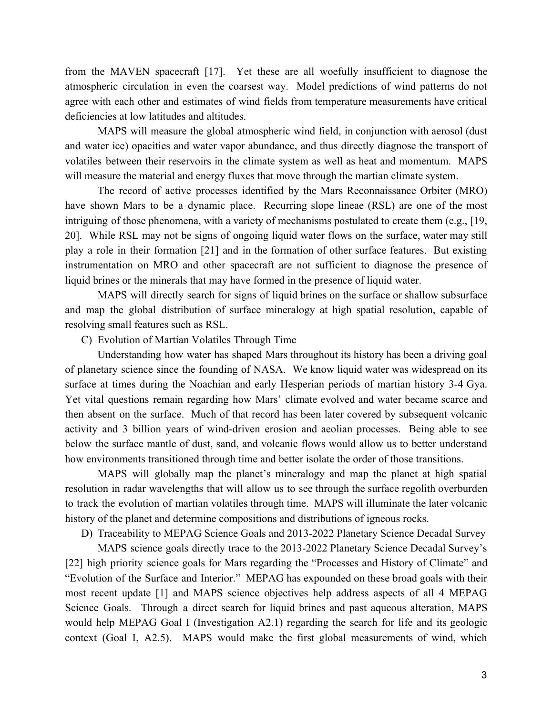from the MAVEN spacecraft [17]. Yet these are all woefully insufficient to diagnose the atmospheric circulation in even the coarsest way. Model predictions of wind patterns do not agree with each other and estimates of wind fields from temperature measurements have critical deficiencies at low latitudes and altitudes.

MAPS will measure the global atmospheric wind field, in conjunction with aerosol (dust and water ice) opacities and water vapor abundance, and thus directly diagnose the transport of volatiles between their reservoirs in the climate system as well as heat and momentum. MAPS will measure the material and energy fluxes that move through the martian climate system.

The record of active processes identified by the Mars Reconnaissance Orbiter (MRO) have shown Mars to be a dynamic place. Recurring slope lineae (RSL) are one of the most intriguing of those phenomena, with a variety of mechanisms postulated to create them (e.g., [19, 20]. While RSL may not be signs of ongoing liquid water flows on the surface, water may still play a role in their formation [21] and in the formation of other surface features. But existing instrumentation on MRO and other spacecraft are not sufficient to diagnose the presence of liquid brines or the minerals that may have formed in the presence of liquid water.

MAPS will directly search for signs of liquid brines on the surface or shallow subsurface and map the global distribution of surface mineralogy at high spatial resolution, capable of resolving small features such as RSL.

C) Evolution of Martian Volatiles Through Time

Understanding how water has shaped Mars throughout its history has been a driving goal of planetary science since the founding of NASA. We know liquid water was widespread on its surface at times during the Noachian and early Hesperian periods of martian history 3-4 Gya. Yet vital questions remain regarding how Mars' climate evolved and water became scarce and then absent on the surface. Much of that record has been later covered by subsequent volcanic activity and 3 billion years of wind-driven erosion and aeolian processes. Being able to see below the surface mantle of dust, sand, and volcanic flows would allow us to better understand how environments transitioned through time and better isolate the order of those transitions.

MAPS will globally map the planet's mineralogy and map the planet at high spatial resolution in radar wavelengths that will allow us to see through the surface regolith overburden to track the evolution of martian volatiles through time. MAPS will illuminate the later volcanic history of the planet and determine compositions and distributions of igneous rocks.

D) Traceability to MEPAG Science Goals and 2013-2022 Planetary Science Decadal Survey

MAPS science goals directly trace to the 2013-2022 Planetary Science Decadal Survey's [22] high priority science goals for Mars regarding the "Processes and History of Climate" and "Evolution of the Surface and Interior." MEPAG has expounded on these broad goals with their most recent update [1] and MAPS science objectives help address aspects of all 4 MEPAG Science Goals. Through a direct search for liquid brines and past aqueous alteration, MAPS would help MEPAG Goal I (Investigation A2.1) regarding the search for life and its geologic context (Goal I, A2.5). MAPS would make the first global measurements of wind, which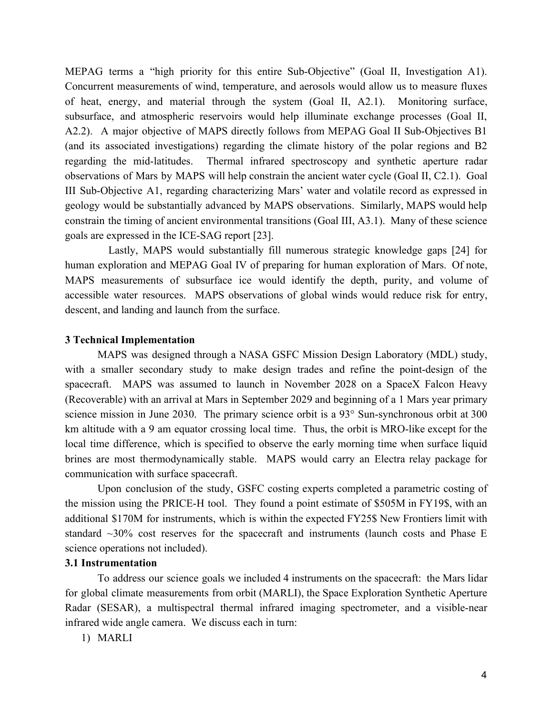MEPAG terms a "high priority for this entire Sub-Objective" (Goal II, Investigation A1). Concurrent measurements of wind, temperature, and aerosols would allow us to measure fluxes of heat, energy, and material through the system (Goal II, A2.1). Monitoring surface, subsurface, and atmospheric reservoirs would help illuminate exchange processes (Goal II, A2.2). A major objective of MAPS directly follows from MEPAG Goal II Sub-Objectives B1 (and its associated investigations) regarding the climate history of the polar regions and B2 regarding the mid-latitudes. Thermal infrared spectroscopy and synthetic aperture radar observations of Mars by MAPS will help constrain the ancient water cycle (Goal II, C2.1). Goal III Sub-Objective A1, regarding characterizing Mars' water and volatile record as expressed in geology would be substantially advanced by MAPS observations. Similarly, MAPS would help constrain the timing of ancient environmental transitions (Goal III, A3.1). Many of these science goals are expressed in the ICE-SAG report [23].

Lastly, MAPS would substantially fill numerous strategic knowledge gaps [24] for human exploration and MEPAG Goal IV of preparing for human exploration of Mars. Of note, MAPS measurements of subsurface ice would identify the depth, purity, and volume of accessible water resources. MAPS observations of global winds would reduce risk for entry, descent, and landing and launch from the surface.

### **3 Technical Implementation**

MAPS was designed through a NASA GSFC Mission Design Laboratory (MDL) study, with a smaller secondary study to make design trades and refine the point-design of the spacecraft. MAPS was assumed to launch in November 2028 on a SpaceX Falcon Heavy (Recoverable) with an arrival at Mars in September 2029 and beginning of a 1 Mars year primary science mission in June 2030. The primary science orbit is a 93° Sun-synchronous orbit at 300 km altitude with a 9 am equator crossing local time. Thus, the orbit is MRO-like except for the local time difference, which is specified to observe the early morning time when surface liquid brines are most thermodynamically stable. MAPS would carry an Electra relay package for communication with surface spacecraft.

Upon conclusion of the study, GSFC costing experts completed a parametric costing of the mission using the PRICE-H tool. They found a point estimate of \$505M in FY19\$, with an additional \$170M for instruments, which is within the expected FY25\$ New Frontiers limit with standard  $\sim$ 30% cost reserves for the spacecraft and instruments (launch costs and Phase E science operations not included).

# **3.1 Instrumentation**

To address our science goals we included 4 instruments on the spacecraft: the Mars lidar for global climate measurements from orbit (MARLI), the Space Exploration Synthetic Aperture Radar (SESAR), a multispectral thermal infrared imaging spectrometer, and a visible-near infrared wide angle camera. We discuss each in turn:

1) MARLI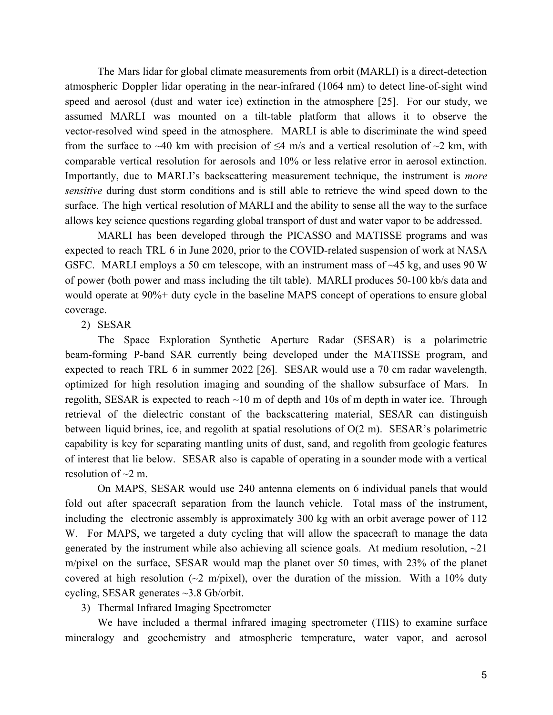The Mars lidar for global climate measurements from orbit (MARLI) is a direct-detection atmospheric Doppler lidar operating in the near-infrared (1064 nm) to detect line-of-sight wind speed and aerosol (dust and water ice) extinction in the atmosphere [25]. For our study, we assumed MARLI was mounted on a tilt-table platform that allows it to observe the vector-resolved wind speed in the atmosphere. MARLI is able to discriminate the wind speed from the surface to ~40 km with precision of  $\leq$ 4 m/s and a vertical resolution of ~2 km, with comparable vertical resolution for aerosols and 10% or less relative error in aerosol extinction. Importantly, due to MARLI's backscattering measurement technique, the instrument is *more sensitive* during dust storm conditions and is still able to retrieve the wind speed down to the surface. The high vertical resolution of MARLI and the ability to sense all the way to the surface allows key science questions regarding global transport of dust and water vapor to be addressed.

MARLI has been developed through the PICASSO and MATISSE programs and was expected to reach TRL 6 in June 2020, prior to the COVID-related suspension of work at NASA GSFC. MARLI employs a 50 cm telescope, with an instrument mass of  $\sim$ 45 kg, and uses 90 W of power (both power and mass including the tilt table). MARLI produces 50-100 kb/s data and would operate at 90%+ duty cycle in the baseline MAPS concept of operations to ensure global coverage.

### 2) SESAR

The Space Exploration Synthetic Aperture Radar (SESAR) is a polarimetric beam-forming P-band SAR currently being developed under the MATISSE program, and expected to reach TRL 6 in summer 2022 [26]. SESAR would use a 70 cm radar wavelength, optimized for high resolution imaging and sounding of the shallow subsurface of Mars. In regolith, SESAR is expected to reach ~10 m of depth and 10s of m depth in water ice. Through retrieval of the dielectric constant of the backscattering material, SESAR can distinguish between liquid brines, ice, and regolith at spatial resolutions of O(2 m). SESAR's polarimetric capability is key for separating mantling units of dust, sand, and regolith from geologic features of interest that lie below. SESAR also is capable of operating in a sounder mode with a vertical resolution of  $\sim$ 2 m.

On MAPS, SESAR would use 240 antenna elements on 6 individual panels that would fold out after spacecraft separation from the launch vehicle. Total mass of the instrument, including the electronic assembly is approximately 300 kg with an orbit average power of 112 W. For MAPS, we targeted a duty cycling that will allow the spacecraft to manage the data generated by the instrument while also achieving all science goals. At medium resolution,  $\sim$ 21 m/pixel on the surface, SESAR would map the planet over 50 times, with 23% of the planet covered at high resolution ( $\sim$ 2 m/pixel), over the duration of the mission. With a 10% duty cycling, SESAR generates ~3.8 Gb/orbit.

### 3) Thermal Infrared Imaging Spectrometer

We have included a thermal infrared imaging spectrometer (TIIS) to examine surface mineralogy and geochemistry and atmospheric temperature, water vapor, and aerosol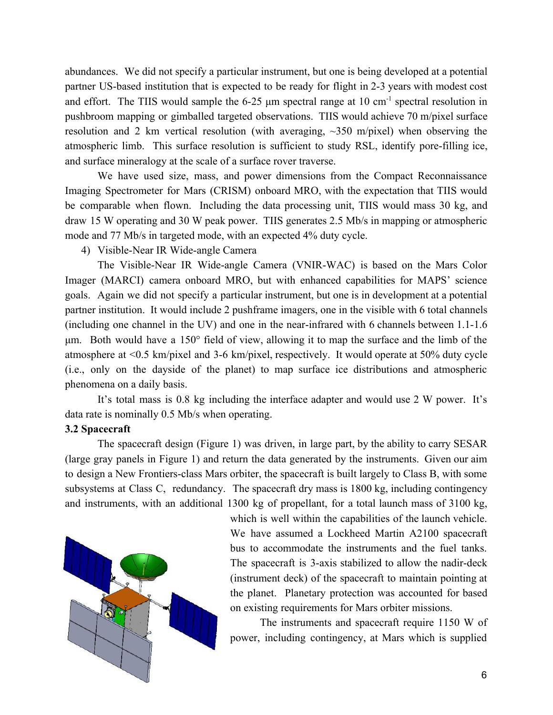abundances. We did not specify a particular instrument, but one is being developed at a potential partner US-based institution that is expected to be ready for flight in 2-3 years with modest cost and effort. The TIIS would sample the 6-25  $\mu$ m spectral range at 10 cm<sup>-1</sup> spectral resolution in pushbroom mapping or gimballed targeted observations. TIIS would achieve 70 m/pixel surface resolution and 2 km vertical resolution (with averaging,  $\sim$ 350 m/pixel) when observing the atmospheric limb. This surface resolution is sufficient to study RSL, identify pore-filling ice, and surface mineralogy at the scale of a surface rover traverse.

We have used size, mass, and power dimensions from the Compact Reconnaissance Imaging Spectrometer for Mars (CRISM) onboard MRO, with the expectation that TIIS would be comparable when flown. Including the data processing unit, TIIS would mass 30 kg, and draw 15 W operating and 30 W peak power. TIIS generates 2.5 Mb/s in mapping or atmospheric mode and 77 Mb/s in targeted mode, with an expected 4% duty cycle.

4) Visible-Near IR Wide-angle Camera

The Visible-Near IR Wide-angle Camera (VNIR-WAC) is based on the Mars Color Imager (MARCI) camera onboard MRO, but with enhanced capabilities for MAPS' science goals. Again we did not specify a particular instrument, but one is in development at a potential partner institution. It would include 2 pushframe imagers, one in the visible with 6 total channels (including one channel in the UV) and one in the near-infrared with 6 channels between 1.1-1.6 μm. Both would have a 150° field of view, allowing it to map the surface and the limb of the atmosphere at <0.5 km/pixel and 3-6 km/pixel, respectively. It would operate at 50% duty cycle (i.e., only on the dayside of the planet) to map surface ice distributions and atmospheric phenomena on a daily basis.

It's total mass is 0.8 kg including the interface adapter and would use 2 W power. It's data rate is nominally 0.5 Mb/s when operating.

### **3.2 Spacecraft**

The spacecraft design (Figure 1) was driven, in large part, by the ability to carry SESAR (large gray panels in Figure 1) and return the data generated by the instruments. Given our aim to design a New Frontiers-class Mars orbiter, the spacecraft is built largely to Class B, with some subsystems at Class C, redundancy. The spacecraft dry mass is 1800 kg, including contingency and instruments, with an additional 1300 kg of propellant, for a total launch mass of 3100 kg,



which is well within the capabilities of the launch vehicle. We have assumed a Lockheed Martin A2100 spacecraft bus to accommodate the instruments and the fuel tanks. The spacecraft is 3-axis stabilized to allow the nadir-deck (instrument deck) of the spacecraft to maintain pointing at the planet. Planetary protection was accounted for based on existing requirements for Mars orbiter missions.

The instruments and spacecraft require 1150 W of power, including contingency, at Mars which is supplied